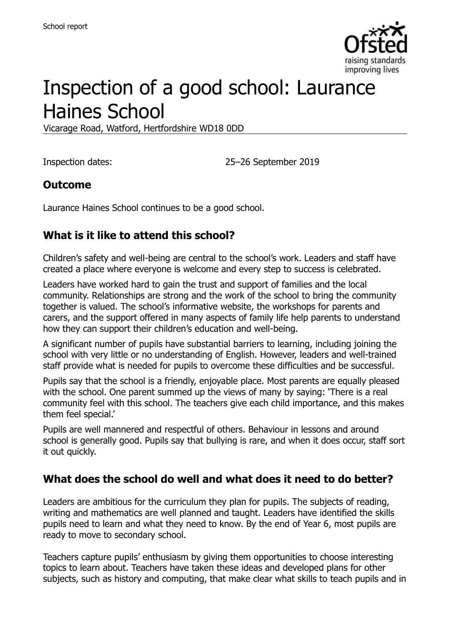

# Inspection of a good school: Laurance Haines School

Vicarage Road, Watford, Hertfordshire WD18 0DD

Inspection dates: 25–26 September 2019

#### **Outcome**

Laurance Haines School continues to be a good school.

# **What is it like to attend this school?**

Children's safety and well-being are central to the school's work. Leaders and staff have created a place where everyone is welcome and every step to success is celebrated.

Leaders have worked hard to gain the trust and support of families and the local community. Relationships are strong and the work of the school to bring the community together is valued. The school's informative website, the workshops for parents and carers, and the support offered in many aspects of family life help parents to understand how they can support their children's education and well-being.

A significant number of pupils have substantial barriers to learning, including joining the school with very little or no understanding of English. However, leaders and well-trained staff provide what is needed for pupils to overcome these difficulties and be successful.

Pupils say that the school is a friendly, enjoyable place. Most parents are equally pleased with the school. One parent summed up the views of many by saying: 'There is a real community feel with this school. The teachers give each child importance, and this makes them feel special.'

Pupils are well mannered and respectful of others. Behaviour in lessons and around school is generally good. Pupils say that bullying is rare, and when it does occur, staff sort it out quickly.

#### **What does the school do well and what does it need to do better?**

Leaders are ambitious for the curriculum they plan for pupils. The subjects of reading, writing and mathematics are well planned and taught. Leaders have identified the skills pupils need to learn and what they need to know. By the end of Year 6, most pupils are ready to move to secondary school.

Teachers capture pupils' enthusiasm by giving them opportunities to choose interesting topics to learn about. Teachers have taken these ideas and developed plans for other subjects, such as history and computing, that make clear what skills to teach pupils and in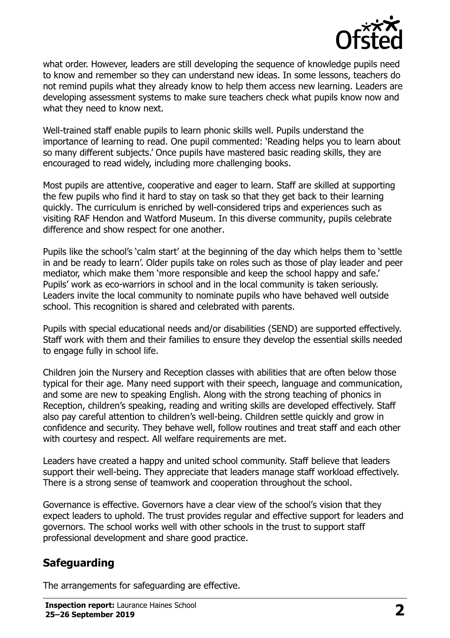

what order. However, leaders are still developing the sequence of knowledge pupils need to know and remember so they can understand new ideas. In some lessons, teachers do not remind pupils what they already know to help them access new learning. Leaders are developing assessment systems to make sure teachers check what pupils know now and what they need to know next.

Well-trained staff enable pupils to learn phonic skills well. Pupils understand the importance of learning to read. One pupil commented: 'Reading helps you to learn about so many different subjects.' Once pupils have mastered basic reading skills, they are encouraged to read widely, including more challenging books.

Most pupils are attentive, cooperative and eager to learn. Staff are skilled at supporting the few pupils who find it hard to stay on task so that they get back to their learning quickly. The curriculum is enriched by well-considered trips and experiences such as visiting RAF Hendon and Watford Museum. In this diverse community, pupils celebrate difference and show respect for one another.

Pupils like the school's 'calm start' at the beginning of the day which helps them to 'settle in and be ready to learn'. Older pupils take on roles such as those of play leader and peer mediator, which make them 'more responsible and keep the school happy and safe.' Pupils' work as eco-warriors in school and in the local community is taken seriously. Leaders invite the local community to nominate pupils who have behaved well outside school. This recognition is shared and celebrated with parents.

Pupils with special educational needs and/or disabilities (SEND) are supported effectively. Staff work with them and their families to ensure they develop the essential skills needed to engage fully in school life.

Children join the Nursery and Reception classes with abilities that are often below those typical for their age. Many need support with their speech, language and communication, and some are new to speaking English. Along with the strong teaching of phonics in Reception, children's speaking, reading and writing skills are developed effectively. Staff also pay careful attention to children's well-being. Children settle quickly and grow in confidence and security. They behave well, follow routines and treat staff and each other with courtesy and respect. All welfare requirements are met.

Leaders have created a happy and united school community. Staff believe that leaders support their well-being. They appreciate that leaders manage staff workload effectively. There is a strong sense of teamwork and cooperation throughout the school.

Governance is effective. Governors have a clear view of the school's vision that they expect leaders to uphold. The trust provides regular and effective support for leaders and governors. The school works well with other schools in the trust to support staff professional development and share good practice.

#### **Safeguarding**

The arrangements for safeguarding are effective.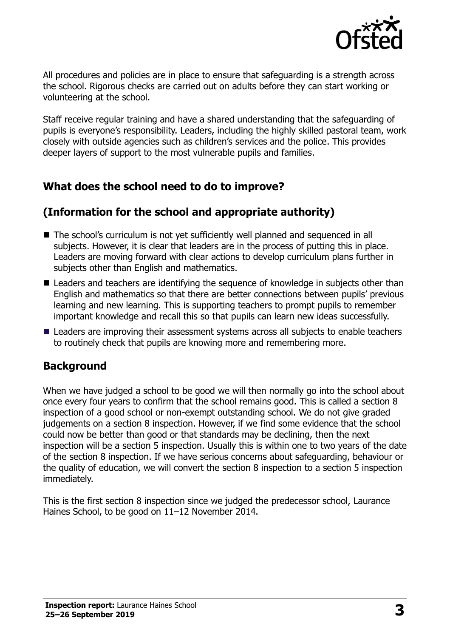

All procedures and policies are in place to ensure that safeguarding is a strength across the school. Rigorous checks are carried out on adults before they can start working or volunteering at the school.

Staff receive regular training and have a shared understanding that the safeguarding of pupils is everyone's responsibility. Leaders, including the highly skilled pastoral team, work closely with outside agencies such as children's services and the police. This provides deeper layers of support to the most vulnerable pupils and families.

#### **What does the school need to do to improve?**

# **(Information for the school and appropriate authority)**

- The school's curriculum is not yet sufficiently well planned and sequenced in all subjects. However, it is clear that leaders are in the process of putting this in place. Leaders are moving forward with clear actions to develop curriculum plans further in subjects other than English and mathematics.
- Leaders and teachers are identifying the sequence of knowledge in subjects other than English and mathematics so that there are better connections between pupils' previous learning and new learning. This is supporting teachers to prompt pupils to remember important knowledge and recall this so that pupils can learn new ideas successfully.
- Leaders are improving their assessment systems across all subjects to enable teachers to routinely check that pupils are knowing more and remembering more.

# **Background**

When we have judged a school to be good we will then normally go into the school about once every four years to confirm that the school remains good. This is called a section 8 inspection of a good school or non-exempt outstanding school. We do not give graded judgements on a section 8 inspection. However, if we find some evidence that the school could now be better than good or that standards may be declining, then the next inspection will be a section 5 inspection. Usually this is within one to two years of the date of the section 8 inspection. If we have serious concerns about safeguarding, behaviour or the quality of education, we will convert the section 8 inspection to a section 5 inspection immediately.

This is the first section 8 inspection since we judged the predecessor school, Laurance Haines School, to be good on 11–12 November 2014.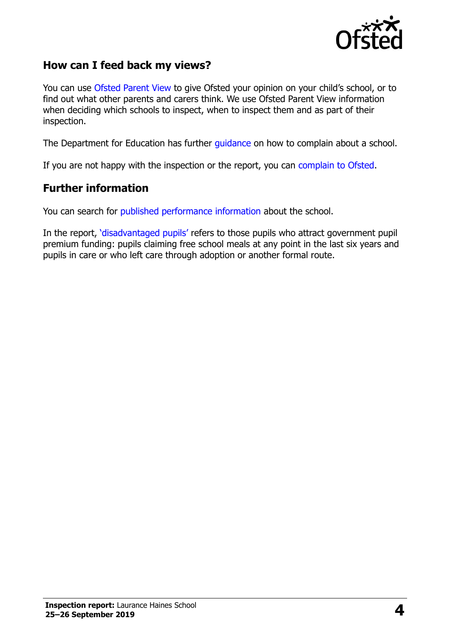

#### **How can I feed back my views?**

You can use [Ofsted Parent View](https://parentview.ofsted.gov.uk/) to give Ofsted your opinion on your child's school, or to find out what other parents and carers think. We use Ofsted Parent View information when deciding which schools to inspect, when to inspect them and as part of their inspection.

The Department for Education has further [guidance](http://www.gov.uk/complain-about-school) on how to complain about a school.

If you are not happy with the inspection or the report, you can [complain to Ofsted.](https://www.gov.uk/complain-ofsted-report)

#### **Further information**

You can search for [published performance information](http://www.compare-school-performance.service.gov.uk/) about the school.

In the report, '[disadvantaged pupils](http://www.gov.uk/guidance/pupil-premium-information-for-schools-and-alternative-provision-settings)' refers to those pupils who attract government pupil premium funding: pupils claiming free school meals at any point in the last six years and pupils in care or who left care through adoption or another formal route.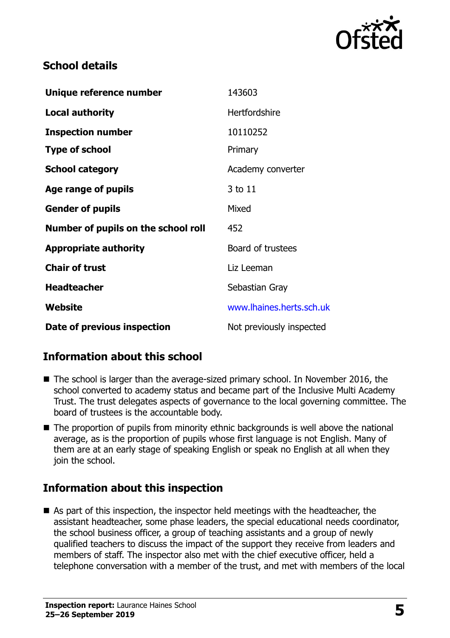

### **School details**

| Unique reference number             | 143603                   |
|-------------------------------------|--------------------------|
| <b>Local authority</b>              | Hertfordshire            |
| <b>Inspection number</b>            | 10110252                 |
| <b>Type of school</b>               | Primary                  |
| <b>School category</b>              | Academy converter        |
| Age range of pupils                 | 3 to 11                  |
| <b>Gender of pupils</b>             | Mixed                    |
| Number of pupils on the school roll | 452                      |
| <b>Appropriate authority</b>        | Board of trustees        |
| <b>Chair of trust</b>               | Liz Leeman               |
| <b>Headteacher</b>                  | Sebastian Gray           |
| Website                             | www.lhaines.herts.sch.uk |
| Date of previous inspection         | Not previously inspected |

# **Information about this school**

- The school is larger than the average-sized primary school. In November 2016, the school converted to academy status and became part of the Inclusive Multi Academy Trust. The trust delegates aspects of governance to the local governing committee. The board of trustees is the accountable body.
- The proportion of pupils from minority ethnic backgrounds is well above the national average, as is the proportion of pupils whose first language is not English. Many of them are at an early stage of speaking English or speak no English at all when they join the school.

# **Information about this inspection**

■ As part of this inspection, the inspector held meetings with the headteacher, the assistant headteacher, some phase leaders, the special educational needs coordinator, the school business officer, a group of teaching assistants and a group of newly qualified teachers to discuss the impact of the support they receive from leaders and members of staff. The inspector also met with the chief executive officer, held a telephone conversation with a member of the trust, and met with members of the local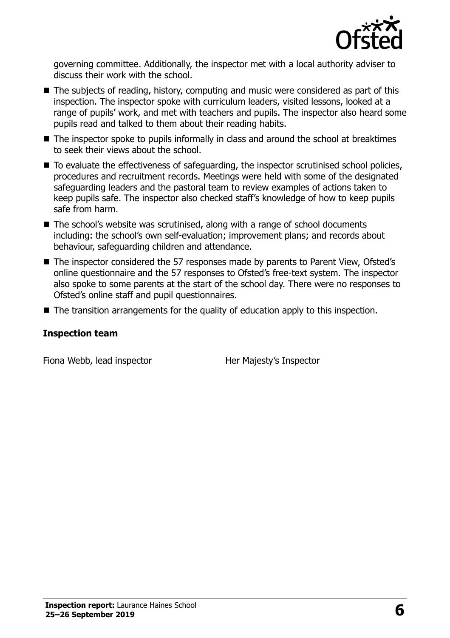

governing committee. Additionally, the inspector met with a local authority adviser to discuss their work with the school.

- The subjects of reading, history, computing and music were considered as part of this inspection. The inspector spoke with curriculum leaders, visited lessons, looked at a range of pupils' work, and met with teachers and pupils. The inspector also heard some pupils read and talked to them about their reading habits.
- The inspector spoke to pupils informally in class and around the school at breaktimes to seek their views about the school.
- To evaluate the effectiveness of safeguarding, the inspector scrutinised school policies, procedures and recruitment records. Meetings were held with some of the designated safeguarding leaders and the pastoral team to review examples of actions taken to keep pupils safe. The inspector also checked staff's knowledge of how to keep pupils safe from harm.
- The school's website was scrutinised, along with a range of school documents including: the school's own self-evaluation; improvement plans; and records about behaviour, safeguarding children and attendance.
- The inspector considered the 57 responses made by parents to Parent View, Ofsted's online questionnaire and the 57 responses to Ofsted's free-text system. The inspector also spoke to some parents at the start of the school day. There were no responses to Ofsted's online staff and pupil questionnaires.
- The transition arrangements for the quality of education apply to this inspection.

#### **Inspection team**

Fiona Webb, lead inspector **Her Majesty's Inspector**